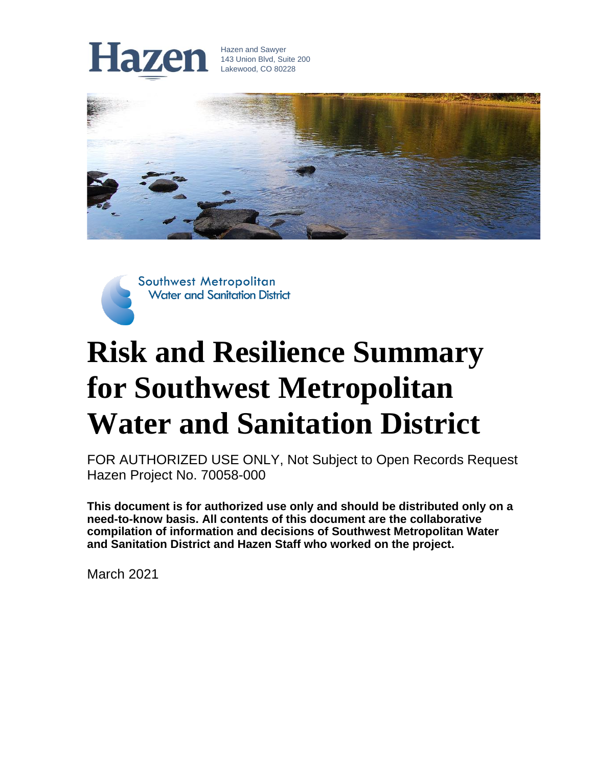

Hazen and Sawyer 143 Union Blvd, Suite 200 Lakewood, CO 80228



Southwest Metropolitan **Water and Sanitation District** 

## **Risk and Resilience Summary for Southwest Metropolitan Water and Sanitation District**

FOR AUTHORIZED USE ONLY, Not Subject to Open Records Request Hazen Project No. 70058-000

**This document is for authorized use only and should be distributed only on a need-to-know basis. All contents of this document are the collaborative compilation of information and decisions of Southwest Metropolitan Water and Sanitation District and Hazen Staff who worked on the project.**

March 2021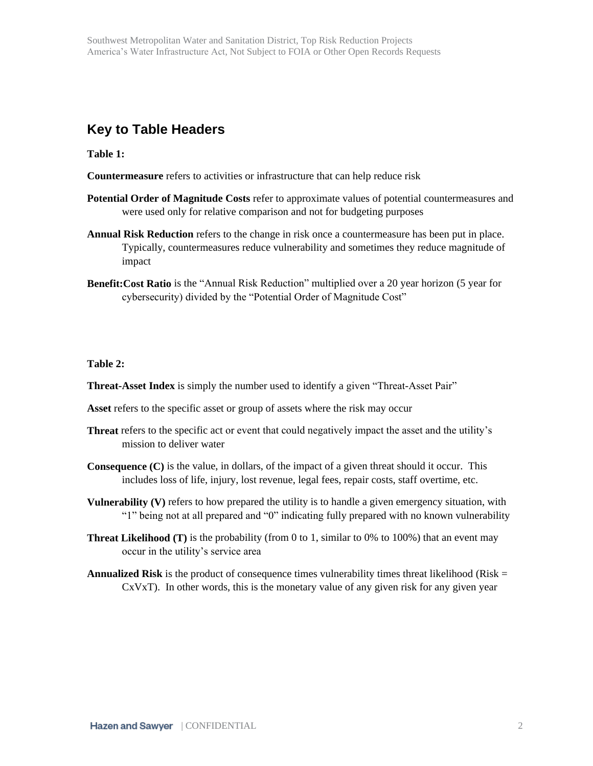## **Key to Table Headers**

**Table 1:**

- **Countermeasure** refers to activities or infrastructure that can help reduce risk
- **Potential Order of Magnitude Costs** refer to approximate values of potential countermeasures and were used only for relative comparison and not for budgeting purposes
- **Annual Risk Reduction** refers to the change in risk once a countermeasure has been put in place. Typically, countermeasures reduce vulnerability and sometimes they reduce magnitude of impact
- **Benefit:Cost Ratio** is the "Annual Risk Reduction" multiplied over a 20 year horizon (5 year for cybersecurity) divided by the "Potential Order of Magnitude Cost"

## **Table 2:**

**Threat-Asset Index** is simply the number used to identify a given "Threat-Asset Pair"

- **Asset** refers to the specific asset or group of assets where the risk may occur
- **Threat** refers to the specific act or event that could negatively impact the asset and the utility's mission to deliver water
- **Consequence (C)** is the value, in dollars, of the impact of a given threat should it occur. This includes loss of life, injury, lost revenue, legal fees, repair costs, staff overtime, etc.
- **Vulnerability (V)** refers to how prepared the utility is to handle a given emergency situation, with "1" being not at all prepared and "0" indicating fully prepared with no known vulnerability
- **Threat Likelihood (T)** is the probability (from 0 to 1, similar to 0% to 100%) that an event may occur in the utility's service area
- **Annualized Risk** is the product of consequence times vulnerability times threat likelihood (Risk  $=$  $CxVxT$ ). In other words, this is the monetary value of any given risk for any given year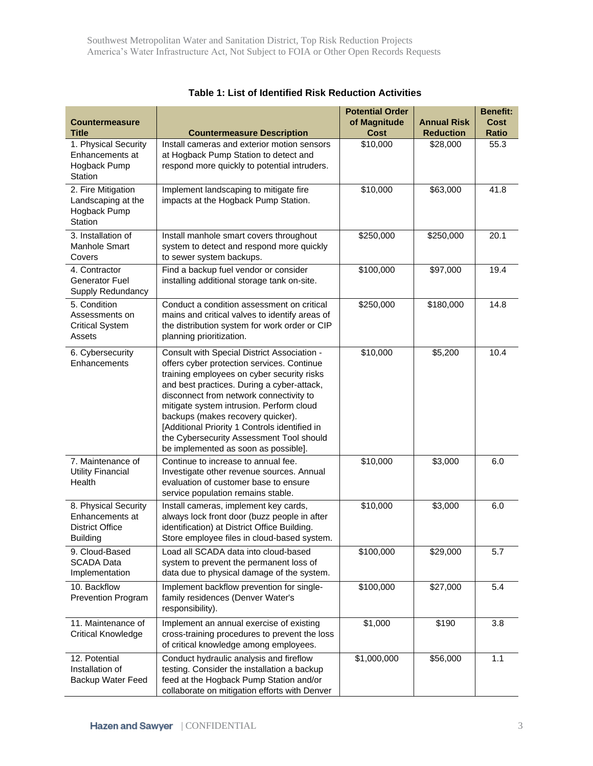| <b>Countermeasure</b><br><b>Title</b>                                                | <b>Countermeasure Description</b>                                                                                                                                                                                                                                                                                                                                                                                                                      | <b>Potential Order</b><br>of Magnitude<br><b>Cost</b> | <b>Annual Risk</b><br><b>Reduction</b> | <b>Benefit:</b><br><b>Cost</b><br><b>Ratio</b> |
|--------------------------------------------------------------------------------------|--------------------------------------------------------------------------------------------------------------------------------------------------------------------------------------------------------------------------------------------------------------------------------------------------------------------------------------------------------------------------------------------------------------------------------------------------------|-------------------------------------------------------|----------------------------------------|------------------------------------------------|
| 1. Physical Security<br>Enhancements at<br>Hogback Pump<br>Station                   | Install cameras and exterior motion sensors<br>at Hogback Pump Station to detect and<br>respond more quickly to potential intruders.                                                                                                                                                                                                                                                                                                                   | \$10,000                                              | \$28,000                               | 55.3                                           |
| 2. Fire Mitigation<br>Landscaping at the<br>Hogback Pump<br>Station                  | Implement landscaping to mitigate fire<br>impacts at the Hogback Pump Station.                                                                                                                                                                                                                                                                                                                                                                         | \$10,000                                              | \$63,000                               | 41.8                                           |
| 3. Installation of<br>Manhole Smart<br>Covers                                        | Install manhole smart covers throughout<br>system to detect and respond more quickly<br>to sewer system backups.                                                                                                                                                                                                                                                                                                                                       | \$250,000                                             | \$250,000                              | 20.1                                           |
| 4. Contractor<br>Generator Fuel<br>Supply Redundancy                                 | Find a backup fuel vendor or consider<br>installing additional storage tank on-site.                                                                                                                                                                                                                                                                                                                                                                   | \$100,000                                             | \$97,000                               | 19.4                                           |
| 5. Condition<br>Assessments on<br><b>Critical System</b><br>Assets                   | Conduct a condition assessment on critical<br>mains and critical valves to identify areas of<br>the distribution system for work order or CIP<br>planning prioritization.                                                                                                                                                                                                                                                                              | \$250,000                                             | \$180,000                              | 14.8                                           |
| 6. Cybersecurity<br>Enhancements                                                     | Consult with Special District Association -<br>offers cyber protection services. Continue<br>training employees on cyber security risks<br>and best practices. During a cyber-attack,<br>disconnect from network connectivity to<br>mitigate system intrusion. Perform cloud<br>backups (makes recovery quicker).<br>[Additional Priority 1 Controls identified in<br>the Cybersecurity Assessment Tool should<br>be implemented as soon as possible]. | \$10,000                                              | \$5,200                                | 10.4                                           |
| 7. Maintenance of<br><b>Utility Financial</b><br>Health                              | Continue to increase to annual fee.<br>Investigate other revenue sources. Annual<br>evaluation of customer base to ensure<br>service population remains stable.                                                                                                                                                                                                                                                                                        | \$10,000                                              | \$3,000                                | 6.0                                            |
| 8. Physical Security<br>Enhancements at<br><b>District Office</b><br><b>Building</b> | Install cameras, implement key cards,<br>always lock front door (buzz people in after<br>identification) at District Office Building.<br>Store employee files in cloud-based system.                                                                                                                                                                                                                                                                   | \$10,000                                              | \$3,000                                | 6.0                                            |
| 9. Cloud-Based<br><b>SCADA Data</b><br>Implementation                                | Load all SCADA data into cloud-based<br>system to prevent the permanent loss of<br>data due to physical damage of the system.                                                                                                                                                                                                                                                                                                                          | \$100,000                                             | \$29,000                               | 5.7                                            |
| 10. Backflow<br><b>Prevention Program</b>                                            | Implement backflow prevention for single-<br>family residences (Denver Water's<br>responsibility).                                                                                                                                                                                                                                                                                                                                                     | \$100,000                                             | \$27,000                               | 5.4                                            |
| 11. Maintenance of<br><b>Critical Knowledge</b>                                      | Implement an annual exercise of existing<br>cross-training procedures to prevent the loss<br>of critical knowledge among employees.                                                                                                                                                                                                                                                                                                                    | \$1,000                                               | \$190                                  | 3.8                                            |
| 12. Potential<br>Installation of<br>Backup Water Feed                                | Conduct hydraulic analysis and fireflow<br>testing. Consider the installation a backup<br>feed at the Hogback Pump Station and/or<br>collaborate on mitigation efforts with Denver                                                                                                                                                                                                                                                                     | \$1,000,000                                           | \$56,000                               | 1.1                                            |

**Table 1: List of Identified Risk Reduction Activities**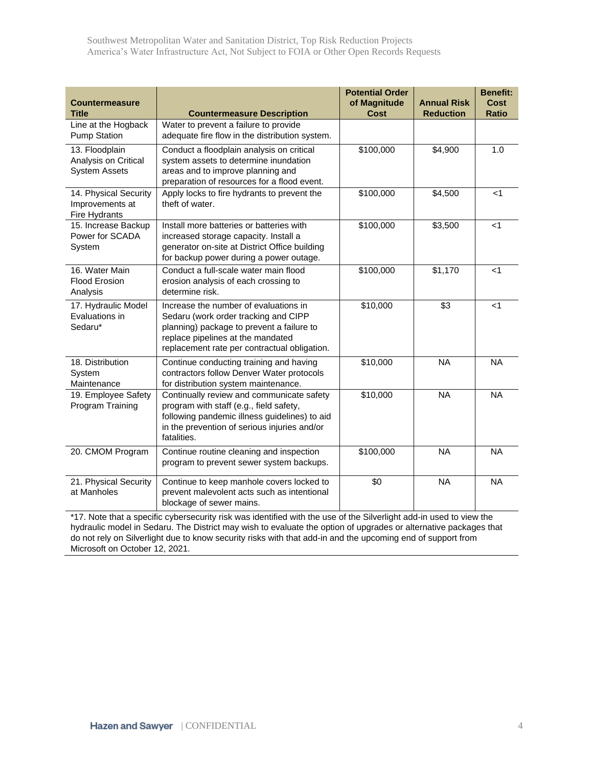Southwest Metropolitan Water and Sanitation District, Top Risk Reduction Projects America's Water Infrastructure Act, Not Subject to FOIA or Other Open Records Requests

| <b>Countermeasure</b><br><b>Title</b>                          | <b>Countermeasure Description</b>                                                                                                                                                                               | <b>Potential Order</b><br>of Magnitude<br><b>Cost</b> | <b>Annual Risk</b><br><b>Reduction</b> | <b>Benefit:</b><br><b>Cost</b><br><b>Ratio</b> |
|----------------------------------------------------------------|-----------------------------------------------------------------------------------------------------------------------------------------------------------------------------------------------------------------|-------------------------------------------------------|----------------------------------------|------------------------------------------------|
| Line at the Hogback<br><b>Pump Station</b>                     | Water to prevent a failure to provide<br>adequate fire flow in the distribution system.                                                                                                                         |                                                       |                                        |                                                |
| 13. Floodplain<br>Analysis on Critical<br><b>System Assets</b> | Conduct a floodplain analysis on critical<br>system assets to determine inundation<br>areas and to improve planning and<br>preparation of resources for a flood event.                                          | \$100,000                                             | \$4,900                                | 1.0                                            |
| 14. Physical Security<br>Improvements at<br>Fire Hydrants      | Apply locks to fire hydrants to prevent the<br>theft of water.                                                                                                                                                  | \$100,000                                             | \$4,500                                | < 1                                            |
| 15. Increase Backup<br>Power for SCADA<br>System               | Install more batteries or batteries with<br>increased storage capacity. Install a<br>generator on-site at District Office building<br>for backup power during a power outage.                                   | \$100,000                                             | \$3,500                                | $<$ 1                                          |
| 16. Water Main<br><b>Flood Erosion</b><br>Analysis             | Conduct a full-scale water main flood<br>erosion analysis of each crossing to<br>determine risk.                                                                                                                | \$100,000                                             | \$1,170                                | $\leq 1$                                       |
| 17. Hydraulic Model<br>Evaluations in<br>Sedaru*               | Increase the number of evaluations in<br>Sedaru (work order tracking and CIPP<br>planning) package to prevent a failure to<br>replace pipelines at the mandated<br>replacement rate per contractual obligation. | \$10,000                                              | $\sqrt{3}$                             | $<$ 1                                          |
| 18. Distribution<br>System<br>Maintenance                      | Continue conducting training and having<br>contractors follow Denver Water protocols<br>for distribution system maintenance.                                                                                    | \$10,000                                              | <b>NA</b>                              | <b>NA</b>                                      |
| 19. Employee Safety<br>Program Training                        | Continually review and communicate safety<br>program with staff (e.g., field safety,<br>following pandemic illness guidelines) to aid<br>in the prevention of serious injuries and/or<br>fatalities.            | \$10,000                                              | <b>NA</b>                              | <b>NA</b>                                      |
| 20. CMOM Program                                               | Continue routine cleaning and inspection<br>program to prevent sewer system backups.                                                                                                                            | \$100,000                                             | <b>NA</b>                              | <b>NA</b>                                      |
| 21. Physical Security<br>at Manholes                           | Continue to keep manhole covers locked to<br>prevent malevolent acts such as intentional<br>blockage of sewer mains.                                                                                            | \$0                                                   | <b>NA</b>                              | <b>NA</b>                                      |

\*17. Note that a specific cybersecurity risk was identified with the use of the Silverlight add-in used to view the hydraulic model in Sedaru. The District may wish to evaluate the option of upgrades or alternative packages that do not rely on Silverlight due to know security risks with that add-in and the upcoming end of support from Microsoft on October 12, 2021.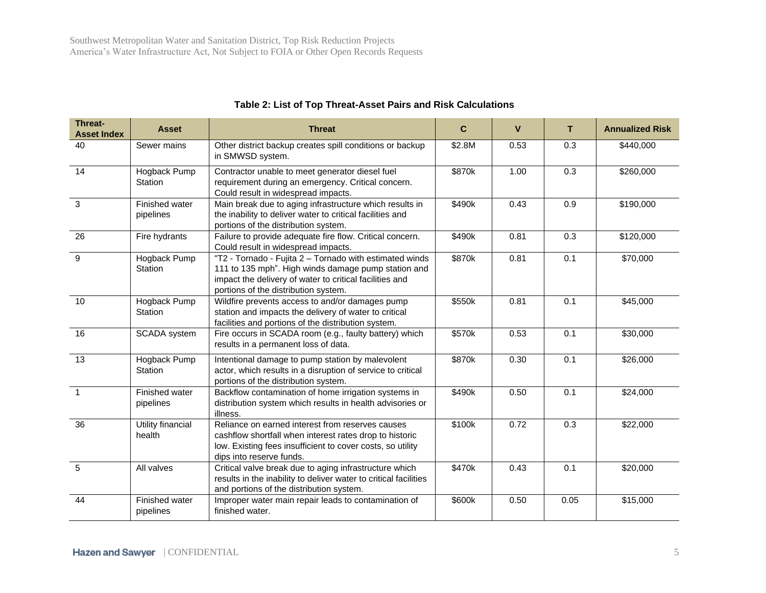| Threat-<br><b>Asset Index</b> | <b>Asset</b>                | <b>Threat</b>                                                                                                                                                                                                     | C      | $\mathbf{V}$ | T    | <b>Annualized Risk</b> |
|-------------------------------|-----------------------------|-------------------------------------------------------------------------------------------------------------------------------------------------------------------------------------------------------------------|--------|--------------|------|------------------------|
| 40                            | Sewer mains                 | Other district backup creates spill conditions or backup<br>in SMWSD system.                                                                                                                                      | \$2.8M | 0.53         | 0.3  | \$440,000              |
| 14                            | Hogback Pump<br>Station     | Contractor unable to meet generator diesel fuel<br>requirement during an emergency. Critical concern.<br>Could result in widespread impacts.                                                                      | \$870k | 1.00         | 0.3  | \$260,000              |
| 3                             | Finished water<br>pipelines | Main break due to aging infrastructure which results in<br>the inability to deliver water to critical facilities and<br>portions of the distribution system.                                                      | \$490k | 0.43         | 0.9  | \$190,000              |
| 26                            | Fire hydrants               | Failure to provide adequate fire flow. Critical concern.<br>Could result in widespread impacts.                                                                                                                   | \$490k | 0.81         | 0.3  | \$120,000              |
| 9                             | Hogback Pump<br>Station     | "T2 - Tornado - Fujita 2 - Tornado with estimated winds<br>111 to 135 mph". High winds damage pump station and<br>impact the delivery of water to critical facilities and<br>portions of the distribution system. | \$870k | 0.81         | 0.1  | \$70,000               |
| 10                            | Hogback Pump<br>Station     | Wildfire prevents access to and/or damages pump<br>station and impacts the delivery of water to critical<br>facilities and portions of the distribution system.                                                   | \$550k | 0.81         | 0.1  | \$45,000               |
| 16                            | <b>SCADA</b> system         | Fire occurs in SCADA room (e.g., faulty battery) which<br>results in a permanent loss of data.                                                                                                                    | \$570k | 0.53         | 0.1  | \$30,000               |
| 13                            | Hogback Pump<br>Station     | Intentional damage to pump station by malevolent<br>actor, which results in a disruption of service to critical<br>portions of the distribution system.                                                           | \$870k | 0.30         | 0.1  | \$26,000               |
| $\overline{1}$                | Finished water<br>pipelines | Backflow contamination of home irrigation systems in<br>distribution system which results in health advisories or<br>illness.                                                                                     | \$490k | 0.50         | 0.1  | \$24,000               |
| 36                            | Utility financial<br>health | Reliance on earned interest from reserves causes<br>cashflow shortfall when interest rates drop to historic<br>low. Existing fees insufficient to cover costs, so utility<br>dips into reserve funds.             | \$100k | 0.72         | 0.3  | \$22,000               |
| 5                             | All valves                  | Critical valve break due to aging infrastructure which<br>results in the inability to deliver water to critical facilities<br>and portions of the distribution system.                                            | \$470k | 0.43         | 0.1  | \$20,000               |
| 44                            | Finished water<br>pipelines | Improper water main repair leads to contamination of<br>finished water.                                                                                                                                           | \$600k | 0.50         | 0.05 | \$15,000               |

## **Table 2: List of Top Threat-Asset Pairs and Risk Calculations**